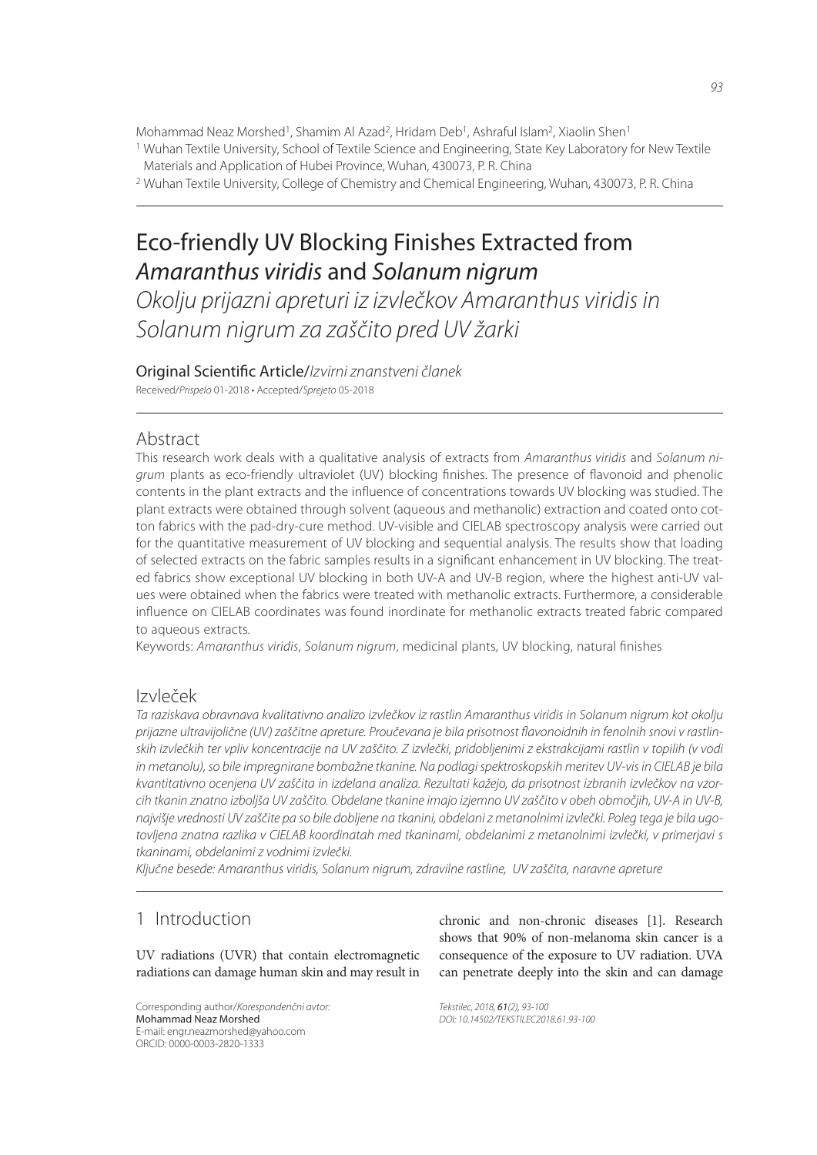Mohammad Neaz Morshed<sup>1</sup>, Shamim Al Azad<sup>2</sup>, Hridam Deb<sup>1</sup>, Ashraful Islam<sup>2</sup>, Xiaolin Shen<sup>1</sup>

1 Wuhan Textile University, School of Textile Science and Engineering, State Key Laboratory for New Textile Materials and Application of Hubei Province, Wuhan, 430073, P. R. China

2 Wuhan Textile University, College of Chemistry and Chemical Engineering, Wuhan, 430073, P. R. China

# Eco-friendly UV Blocking Finishes Extracted from Amaranthus viridis and Solanum nigrum

Okolju prijazni apreturi iz izvlečkov Amaranthus viridis in Solanum nigrum za zaščito pred UV žarki

Original Scientific Article/Izvirni znanstveni članek

Received/Prispelo 01-2018 • Accepted/Sprejeto 05-2018

# Abstract

This research work deals with a qualitative analysis of extracts from Amaranthus viridis and Solanum nigrum plants as eco-friendly ultraviolet (UV) blocking finishes. The presence of flavonoid and phenolic contents in the plant extracts and the influence of concentrations towards UV blocking was studied. The plant extracts were obtained through solvent (aqueous and methanolic) extraction and coated onto cotton fabrics with the pad-dry-cure method. UV-visible and CIELAB spectroscopy analysis were carried out for the quantitative measurement of UV blocking and sequential analysis. The results show that loading of selected extracts on the fabric samples results in a significant enhancement in UV blocking. The treated fabrics show exceptional UV blocking in both UV-A and UV-B region, where the highest anti-UV values were obtained when the fabrics were treated with methanolic extracts. Furthermore, a considerable influence on CIELAB coordinates was found inordinate for methanolic extracts treated fabric compared to aqueous extracts.

Keywords: Amaranthus viridis, Solanum nigrum, medicinal plants, UV blocking, natural finishes

# Izvleček

Ta raziskava obravnava kvalitativno analizo izvlečkov iz rastlin Amaranthus viridis in Solanum nigrum kot okolju prijazne ultravijolične (UV) zaščitne apreture. Proučevana je bila prisotnost flavonoidnih in fenolnih snovi v rastlinskih izvlečkih ter vpliv koncentracije na UV zaščito. Z izvlečki, pridobljenimi z ekstrakcijami rastlin v topilih (v vodi in metanolu), so bile impregnirane bombažne tkanine. Na podlagi spektroskopskih meritev UV-vis in CIELAB je bila kvantitativno ocenjena UV zaščita in izdelana analiza. Rezultati kažejo, da prisotnost izbranih izvlečkov na vzorcih tkanin znatno izboljša UV zaščito. Obdelane tkanine imajo izjemno UV zaščito v obeh območjih, UV-A in UV-B, najvišje vrednosti UV zaščite pa so bile dobljene na tkanini, obdelani z metanolnimi izvlečki. Poleg tega je bila ugotovljena znatna razlika v CIELAB koordinatah med tkaninami, obdelanimi z metanolnimi izvlečki, v primerjavi s tkaninami, obdelanimi z vodnimi izvlečki.

Ključne besede: Amaranthus viridis, Solanum nigrum, zdravilne rastline, UV zaščita, naravne apreture

# 1 Introduction

UV radiations (UVR) that contain electromagnetic radiations can damage human skin and may result in

Corresponding author/Korespondenčni avtor: Mohammad Neaz Morshed E-mail: engr.neazmorshed@yahoo.com ORCID: 0000-0003-2820-1333

chronic and non-chronic diseases [1]. Research shows that 90% of non-melanoma skin cancer is a consequence of the exposure to UV radiation. UVA can penetrate deeply into the skin and can damage

Tekstilec, 2018, 61(2), 93-100 DOI: 10.14502/TEKSTILEC2018.61.93-100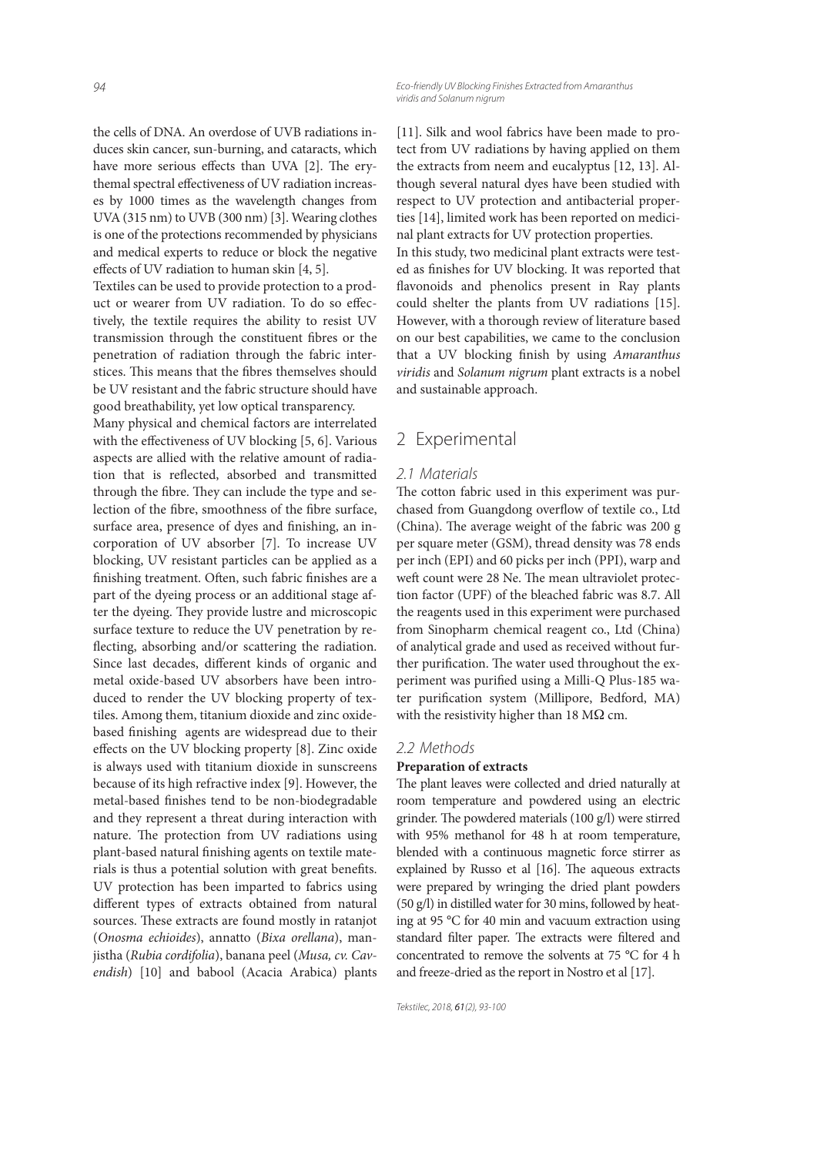the cells of DNA. An overdose of UVB radiations induces skin cancer, sun-burning, and cataracts, which have more serious effects than UVA [2]. The erythemal spectral effectiveness of UV radiation increases by 1000 times as the wavelength changes from UVA (315 nm) to UVB (300 nm) [3]. Wearing clothes is one of the protections recommended by physicians and medical experts to reduce or block the negative effects of UV radiation to human skin  $[4, 5]$ .

Textiles can be used to provide protection to a product or wearer from UV radiation. To do so effectively, the textile requires the ability to resist UV transmission through the constituent fibres or the penetration of radiation through the fabric interstices. This means that the fibres themselves should be UV resistant and the fabric structure should have good breathability, yet low optical transparency.

Many physical and chemical factors are interrelated with the effectiveness of UV blocking  $[5, 6]$ . Various aspects are allied with the relative amount of radiation that is reflected, absorbed and transmitted through the fibre. They can include the type and selection of the fibre, smoothness of the fibre surface, surface area, presence of dyes and finishing, an incorporation of UV absorber [7]. To increase UV blocking, UV resistant particles can be applied as a finishing treatment. Often, such fabric finishes are a part of the dyeing process or an additional stage after the dyeing. They provide lustre and microscopic surface texture to reduce the UV penetration by reflecting, absorbing and/or scattering the radiation. Since last decades, different kinds of organic and metal oxide-based UV absorbers have been introduced to render the UV blocking property of textiles. Among them, titanium dioxide and zinc oxidebased finishing agents are widespread due to their effects on the UV blocking property [8]. Zinc oxide is always used with titanium dioxide in sunscreens because of its high refractive index [9]. However, the metal-based finishes tend to be non-biodegradable and they represent a threat during interaction with nature. The protection from UV radiations using plant-based natural finishing agents on textile materials is thus a potential solution with great benefits. UV protection has been imparted to fabrics using different types of extracts obtained from natural sources. These extracts are found mostly in ratanjot (*Onosma echioides*), annatto (*Bixa orellana*), manjistha (*Rubia cordifolia*), banana peel (*Musa, cv. Cavendish*) [10] and babool (Acacia Arabica) plants [11]. Silk and wool fabrics have been made to protect from UV radiations by having applied on them the extracts from neem and eucalyptus [12, 13]. Although several natural dyes have been studied with respect to UV protection and antibacterial properties [14], limited work has been reported on medicinal plant extracts for UV protection properties.

In this study, two medicinal plant extracts were tested as finishes for UV blocking. It was reported that flavonoids and phenolics present in Ray plants could shelter the plants from UV radiations [15]. However, with a thorough review of literature based on our best capabilities, we came to the conclusion that a UV blocking finish by using *Amaranthus viridis* and *Solanum nigrum* plant extracts is a nobel and sustainable approach.

# 2 Experimental

### 2.1 Materials

The cotton fabric used in this experiment was purchased from Guangdong overflow of textile co., Ltd (China). The average weight of the fabric was 200 g per square meter (GSM), thread density was 78 ends per inch (EPI) and 60 picks per inch (PPI), warp and weft count were 28 Ne. The mean ultraviolet protection factor (UPF) of the bleached fabric was 8.7. All the reagents used in this experiment were purchased from Sinopharm chemical reagent co., Ltd (China) of analytical grade and used as received without further purification. The water used throughout the experiment was purified using a Milli-Q Plus-185 water purification system (Millipore, Bedford, MA) with the resistivity higher than 18 M $\Omega$  cm.

### 2.2 Methods

#### **Preparation of extracts**

The plant leaves were collected and dried naturally at room temperature and powdered using an electric grinder. The powdered materials (100 g/l) were stirred with 95% methanol for 48 h at room temperature, blended with a continuous magnetic force stirrer as explained by Russo et al [16]. The aqueous extracts were prepared by wringing the dried plant powders (50 g/l) in distilled water for 30 mins, followed by heating at 95 °C for 40 min and vacuum extraction using standard filter paper. The extracts were filtered and concentrated to remove the solvents at 75 °C for 4 h and freeze-dried as the report in Nostro et al [17].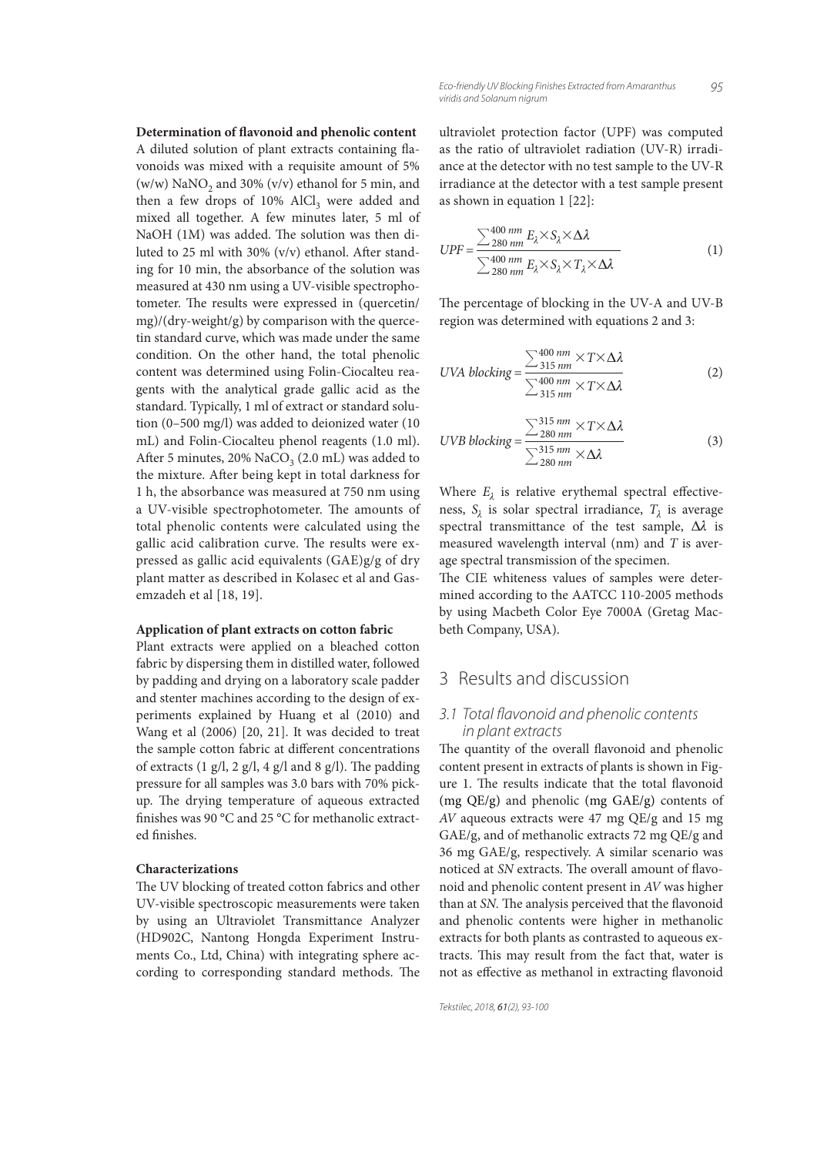**Determination of flavonoid and phenolic content** A diluted solution of plant extracts containing flavonoids was mixed with a requisite amount of 5% (w/w) NaNO<sub>2</sub> and 30% (v/v) ethanol for 5 min, and then a few drops of  $10\%$  AlCl<sub>3</sub> were added and mixed all together. A few minutes later, 5 ml of NaOH (1M) was added. The solution was then diluted to 25 ml with 30%  $(v/v)$  ethanol. After standing for 10 min, the absorbance of the solution was measured at 430 nm using a UV-visible spectrophotometer. The results were expressed in (quercetin/ mg)/(dry-weight/g) by comparison with the quercetin standard curve, which was made under the same condition. On the other hand, the total phenolic content was determined using Folin-Ciocalteu reagents with the analytical grade gallic acid as the standard. Typically, 1 ml of extract or standard solution (0–500 mg/l) was added to deionized water (10 mL) and Folin-Ciocalteu phenol reagents (1.0 ml). After 5 minutes,  $20\%$  NaCO<sub>3</sub> (2.0 mL) was added to the mixture. After being kept in total darkness for 1 h, the absorbance was measured at 750 nm using a UV-visible spectrophotometer. The amounts of total phenolic contents were calculated using the gallic acid calibration curve. The results were expressed as gallic acid equivalents (GAE)g/g of dry plant matter as described in Kolasec et al and Gasemzadeh et al [18, 19].

#### **Application of plant extracts on cotton fabric**

Plant extracts were applied on a bleached cotton fabric by dispersing them in distilled water, followed by padding and drying on a laboratory scale padder and stenter machines according to the design of experiments explained by Huang et al (2010) and Wang et al (2006) [20, 21]. It was decided to treat the sample cotton fabric at different concentrations of extracts  $(1 \text{ g/l}, 2 \text{ g/l}, 4 \text{ g/l} \text{ and } 8 \text{ g/l})$ . The padding pressure for all samples was 3.0 bars with 70% pickup. The drying temperature of aqueous extracted finishes was 90 °C and 25 °C for methanolic extracted finishes.

#### **Characterizations**

The UV blocking of treated cotton fabrics and other UV-visible spectroscopic measurements were taken by using an Ultraviolet Transmittance Analyzer (HD902C, Nantong Hongda Experiment Instruments Co., Ltd, China) with integrating sphere according to corresponding standard methods. The ultraviolet protection factor (UPF) was computed as the ratio of ultraviolet radiation (UV-R) irradiance at the detector with no test sample to the UV-R irradiance at the detector with a test sample present as shown in equation 1 [22]:

$$
UPF = \frac{\sum_{280 \, nm}^{400 \, nm} E_{\lambda} \times S_{\lambda} \times \Delta \lambda}{\sum_{280 \, nm}^{400 \, nm} E_{\lambda} \times S_{\lambda} \times T_{\lambda} \times \Delta \lambda}
$$
 (1)

The percentage of blocking in the UV-A and UV-B region was determined with equations 2 and 3:

$$
UVA \, blocking = \frac{\sum_{315 \, nm}^{400 \, nm} \times T \times \Delta\lambda}{\sum_{315 \, nm}^{400 \, nm} \times T \times \Delta\lambda}
$$
 (2)

$$
UVB \, blocking = \frac{\sum_{280 \, nm}^{315 \, nm} \times T \times \Delta\lambda}{\sum_{280 \, nm}^{315 \, nm} \times \Delta\lambda}
$$
 (3)

Where  $E_{\lambda}$  is relative erythemal spectral effectiveness,  $S_\lambda$  is solar spectral irradiance,  $T_\lambda$  is average spectral transmittance of the test sample,  $\Delta\lambda$  is measured wavelength interval (nm) and *T* is average spectral transmission of the specimen.

The CIE whiteness values of samples were determined according to the AATCC 110-2005 methods by using Macbeth Color Eye 7000A (Gretag Macbeth Company, USA).

# 3 Results and discussion

### 3.1 Total flavonoid and phenolic contents in plant extracts

The quantity of the overall flavonoid and phenolic content present in extracts of plants is shown in Figure 1. The results indicate that the total flavonoid (mg QE/g) and phenolic (mg GAE/g) contents of *AV* aqueous extracts were 47 mg QE/g and 15 mg GAE/g, and of methanolic extracts 72 mg QE/g and 36 mg GAE/g, respectively. A similar scenario was noticed at *SN* extracts. The overall amount of flavonoid and phenolic content present in *AV* was higher than at *SN*. The analysis perceived that the flavonoid and phenolic contents were higher in methanolic extracts for both plants as contrasted to aqueous extracts. This may result from the fact that, water is not as effective as methanol in extracting flavonoid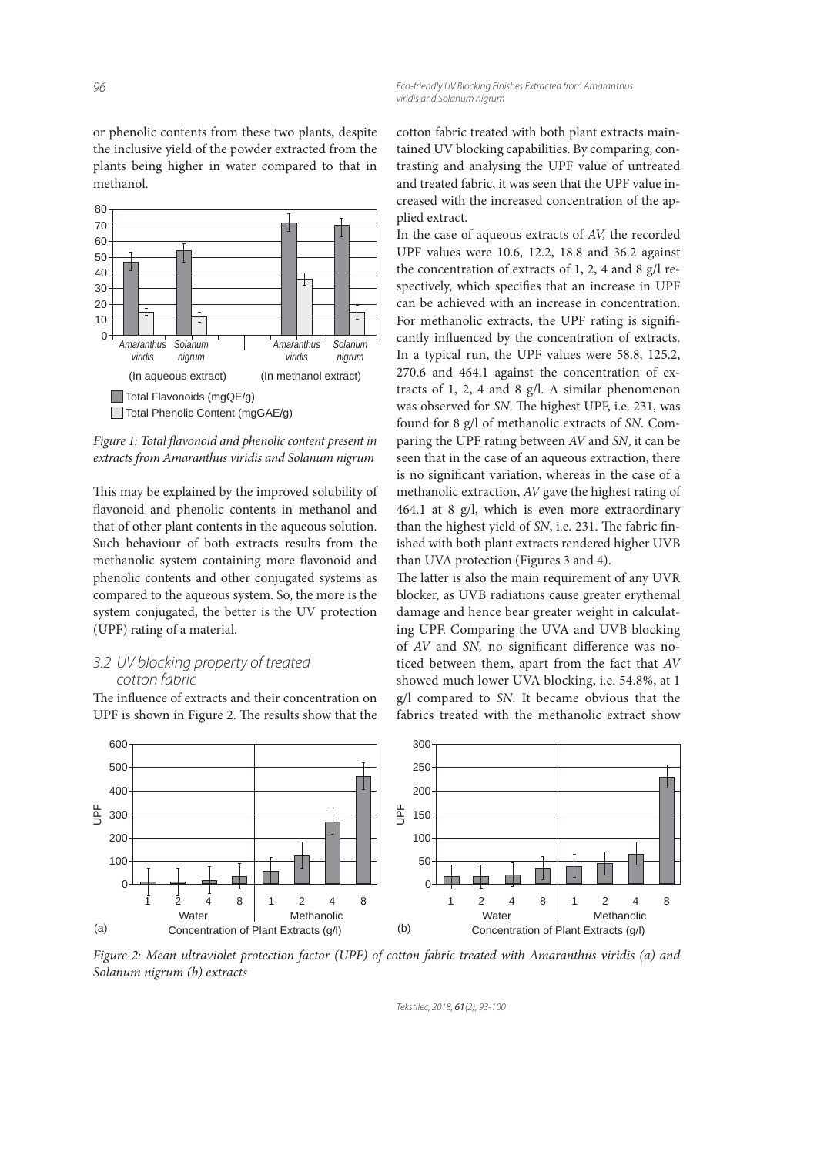or phenolic contents from these two plants, despite the inclusive yield of the powder extracted from the plants being higher in water compared to that in methanol.



Figure 1: Total flavonoid and phenolic content present in *extracts from Amaranthus viridis and Solanum nigrum*

This may be explained by the improved solubility of flavonoid and phenolic contents in methanol and that of other plant contents in the aqueous solution. Such behaviour of both extracts results from the methanolic system containing more flavonoid and phenolic contents and other conjugated systems as compared to the aqueous system. So, the more is the system conjugated, the better is the UV protection (UPF) rating of a material.

### 3.2 UV blocking property of treated cotton fabric

The influence of extracts and their concentration on UPF is shown in Figure 2. The results show that the cotton fabric treated with both plant extracts maintained UV blocking capabilities. By comparing, contrasting and analysing the UPF value of untreated and treated fabric, it was seen that the UPF value increased with the increased concentration of the applied extract.

In the case of aqueous extracts of *AV,* the recorded UPF values were 10.6, 12.2, 18.8 and 36.2 against the concentration of extracts of 1, 2, 4 and 8 g/l respectively, which specifies that an increase in UPF can be achieved with an increase in concentration. For methanolic extracts, the UPF rating is significantly influenced by the concentration of extracts. In a typical run, the UPF values were 58.8, 125.2, 270.6 and 464.1 against the concentration of extracts of 1, 2, 4 and 8 g/l. A similar phenomenon was observed for *SN*. The highest UPF, i.e. 231, was found for 8 g/l of methanolic extracts of *SN*. Comparing the UPF rating between *AV* and *SN*, it can be seen that in the case of an aqueous extraction, there is no significant variation, whereas in the case of a methanolic extraction, *AV* gave the highest rating of 464.1 at 8 g/l, which is even more extraordinary than the highest yield of *SN*, i.e. 231. The fabric finished with both plant extracts rendered higher UVB than UVA protection (Figures 3 and 4).

The latter is also the main requirement of any UVR blocker, as UVB radiations cause greater erythemal damage and hence bear greater weight in calculating UPF. Comparing the UVA and UVB blocking of *AV* and *SN*, no significant difference was noticed between them, apart from the fact that *AV* showed much lower UVA blocking, i.e. 54.8%, at 1 g/l compared to *SN.* It became obvious that the fabrics treated with the methanolic extract show



*Figure 2: Mean ultraviolet protection factor (UPF) of cotton fabric treated with Amaranthus viridis (a) and Solanum nigrum (b) extracts*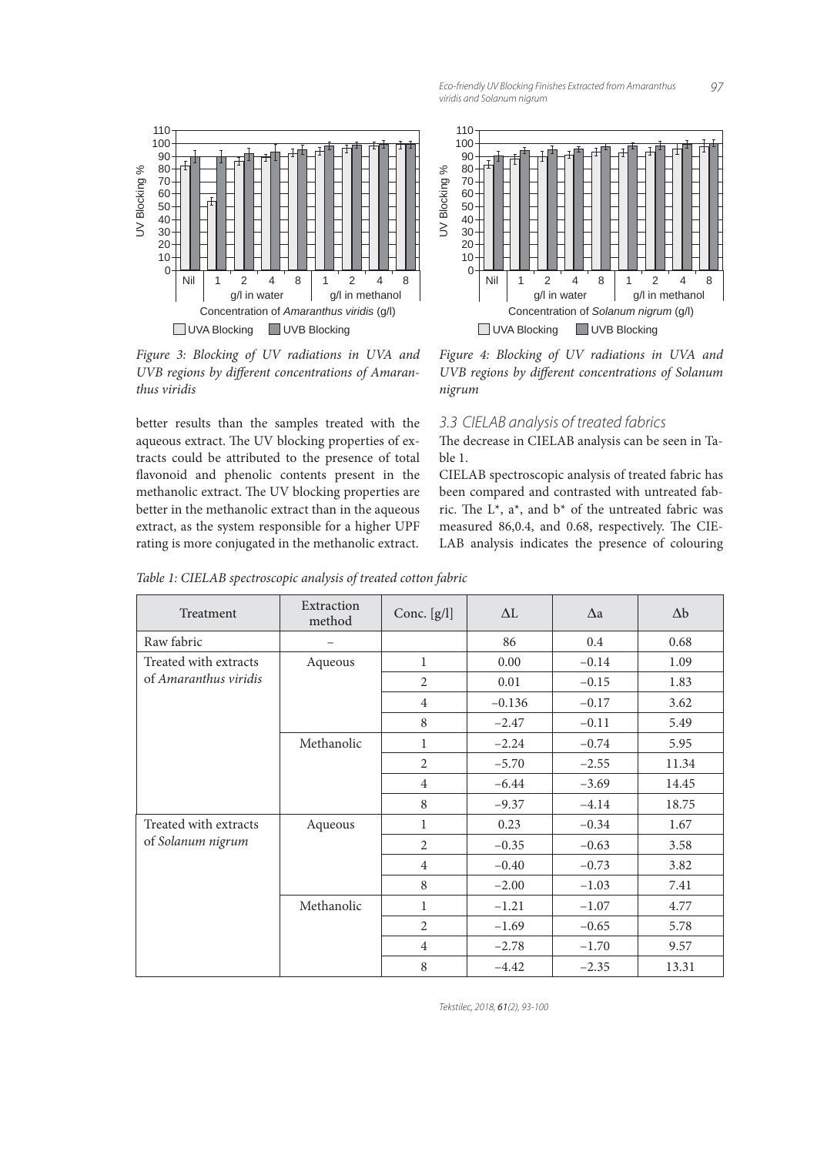

*Figure 3: Blocking of UV radiations in UVA and*  UVB regions by different concentrations of Amaran*thus viridis*

better results than the samples treated with the aqueous extract. The UV blocking properties of extracts could be attributed to the presence of total flavonoid and phenolic contents present in the methanolic extract. The UV blocking properties are better in the methanolic extract than in the aqueous extract, as the system responsible for a higher UPF rating is more conjugated in the methanolic extract.



*Figure 4: Blocking of UV radiations in UVA and UVB regions by different concentrations of Solanum nigrum*

### 3.3 CIELAB analysis of treated fabrics

The decrease in CIELAB analysis can be seen in Table 1.

CIELAB spectroscopic analysis of treated fabric has been compared and contrasted with untreated fabric. The  $L^*$ ,  $a^*$ , and  $b^*$  of the untreated fabric was measured 86,0.4, and 0.68, respectively. The CIE-LAB analysis indicates the presence of colouring

*Table 1: CIELAB spectroscopic analysis of treated cotton fabric*

| Treatment                                      | Extraction<br>method | Conc. [g/l]    | $\Delta L$ | $\Delta a$ | $\Delta b$ |
|------------------------------------------------|----------------------|----------------|------------|------------|------------|
| Raw fabric                                     |                      |                | 86         | 0.4        | 0.68       |
| Treated with extracts<br>of Amaranthus viridis | Aqueous              | $\mathbf{1}$   | 0.00       | $-0.14$    | 1.09       |
|                                                |                      | $\overline{2}$ | 0.01       | $-0.15$    | 1.83       |
|                                                |                      | $\overline{4}$ | $-0.136$   | $-0.17$    | 3.62       |
|                                                |                      | 8              | $-2.47$    | $-0.11$    | 5.49       |
|                                                | Methanolic           | 1              | $-2.24$    | $-0.74$    | 5.95       |
|                                                |                      | 2              | $-5.70$    | $-2.55$    | 11.34      |
|                                                |                      | $\overline{4}$ | $-6.44$    | $-3.69$    | 14.45      |
|                                                |                      | 8              | $-9.37$    | $-4.14$    | 18.75      |
| Treated with extracts<br>of Solanum nigrum     | Aqueous              | 1              | 0.23       | $-0.34$    | 1.67       |
|                                                |                      | $\overline{2}$ | $-0.35$    | $-0.63$    | 3.58       |
|                                                |                      | $\overline{4}$ | $-0.40$    | $-0.73$    | 3.82       |
|                                                |                      | 8              | $-2.00$    | $-1.03$    | 7.41       |
|                                                | Methanolic           | $\mathbf{1}$   | $-1.21$    | $-1.07$    | 4.77       |
|                                                |                      | $\overline{2}$ | $-1.69$    | $-0.65$    | 5.78       |
|                                                |                      | $\overline{4}$ | $-2.78$    | $-1.70$    | 9.57       |
|                                                |                      | 8              | $-4.42$    | $-2.35$    | 13.31      |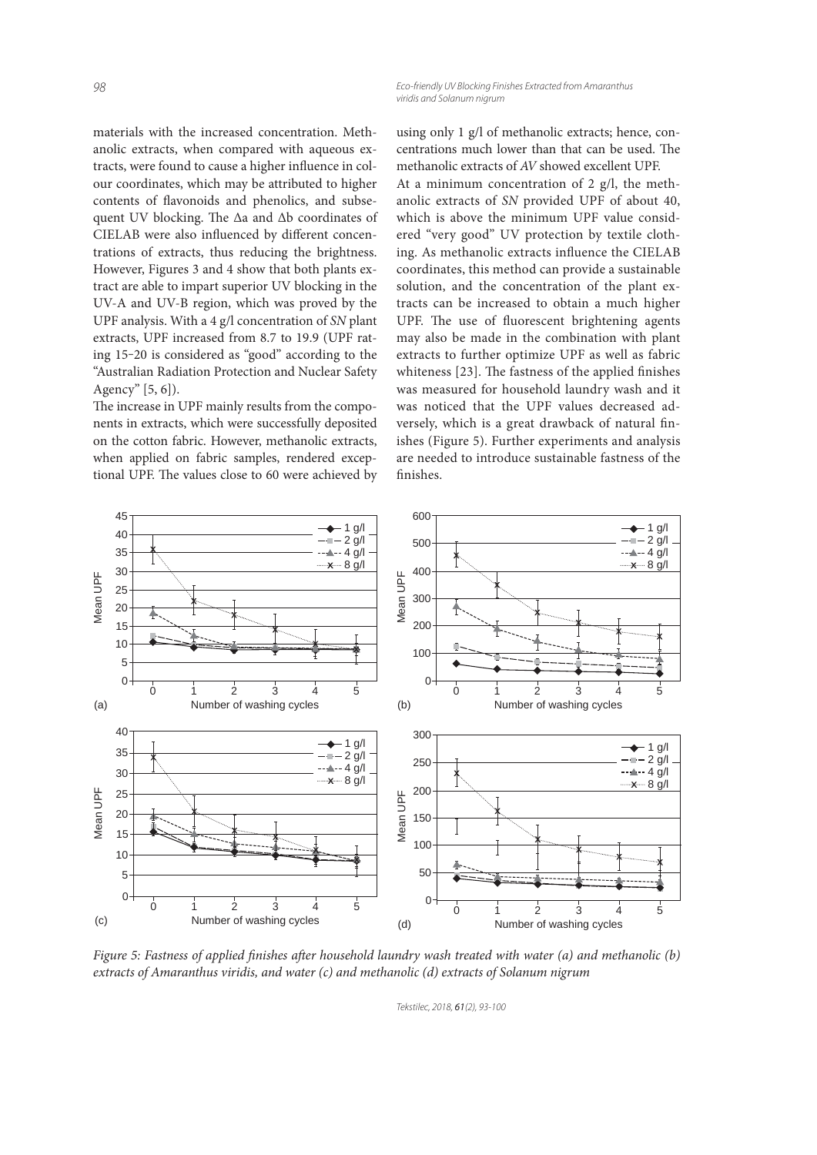materials with the increased concentration. Methanolic extracts, when compared with aqueous extracts, were found to cause a higher influence in colour coordinates, which may be attributed to higher contents of flavonoids and phenolics, and subsequent UV blocking. The Δa and Δb coordinates of CIELAB were also influenced by different concentrations of extracts, thus reducing the brightness. However, Figures 3 and 4 show that both plants extract are able to impart superior UV blocking in the UV-A and UV-B region, which was proved by the UPF analysis. With a 4 g/l concentration of *SN* plant extracts, UPF increased from 8.7 to 19.9 (UPF rating 15-20 is considered as "good" according to the "Australian Radiation Protection and Nuclear Safety Agency" [5, 6]).

The increase in UPF mainly results from the components in extracts, which were successfully deposited on the cotton fabric. However, methanolic extracts, when applied on fabric samples, rendered exceptional UPF. The values close to 60 were achieved by

using only 1 g/l of methanolic extracts; hence, concentrations much lower than that can be used. The methanolic extracts of *AV* showed excellent UPF. At a minimum concentration of 2  $g/l$ , the methanolic extracts of *SN* provided UPF of about 40, which is above the minimum UPF value considered "very good" UV protection by textile clothing. As methanolic extracts influence the CIELAB coordinates, this method can provide a sustainable solution, and the concentration of the plant extracts can be increased to obtain a much higher UPF. The use of fluorescent brightening agents may also be made in the combination with plant extracts to further optimize UPF as well as fabric whiteness [23]. The fastness of the applied finishes was measured for household laundry wash and it was noticed that the UPF values decreased adversely, which is a great drawback of natural finishes (Figure 5). Further experiments and analysis are needed to introduce sustainable fastness of the finishes.



*Figure 5: Fastness of applied finishes after household laundry wash treated with water (a) and methanolic (b) extracts of Amaranthus viridis, and water (c) and methanolic (d) extracts of Solanum nigrum*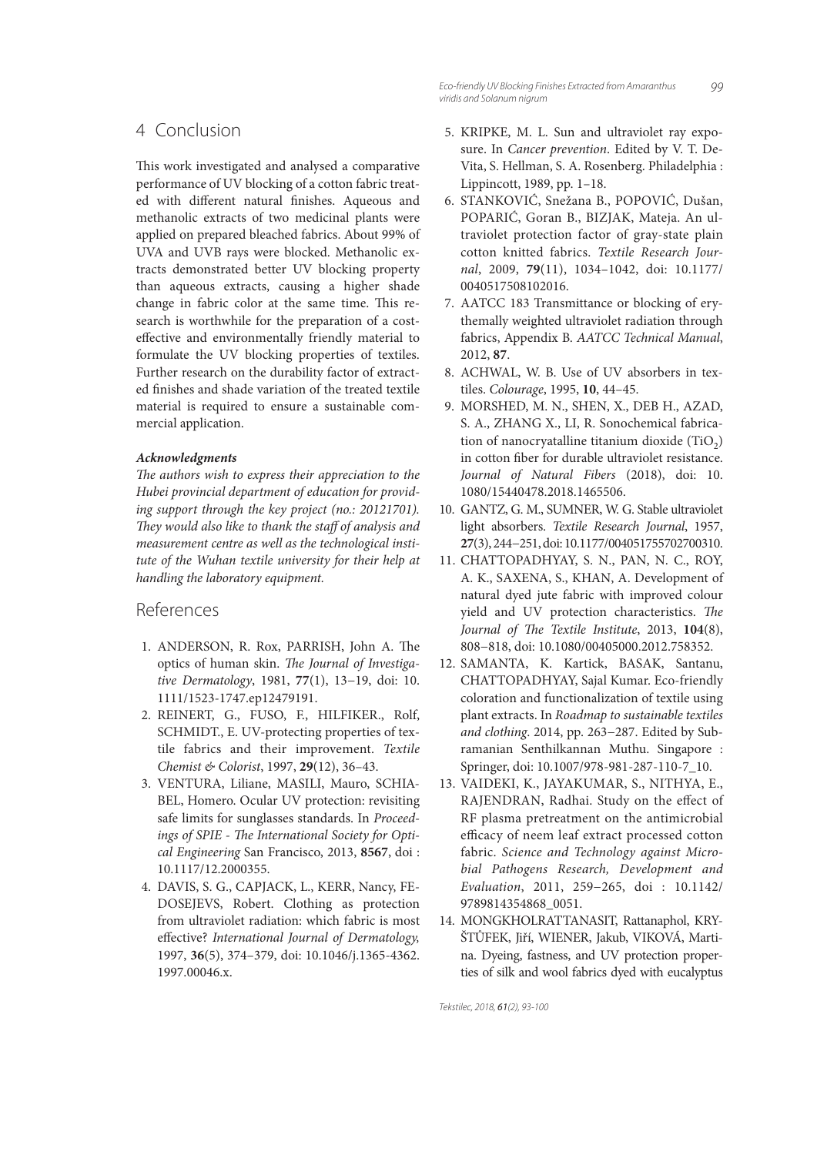99 Eco-friendly UV Blocking Finishes Extracted from Amaranthus viridis and Solanum nigrum

# 4 Conclusion

This work investigated and analysed a comparative performance of UV blocking of a cotton fabric treated with different natural finishes. Aqueous and methanolic extracts of two medicinal plants were applied on prepared bleached fabrics. About 99% of UVA and UVB rays were blocked. Methanolic extracts demonstrated better UV blocking property than aqueous extracts, causing a higher shade change in fabric color at the same time. This research is worthwhile for the preparation of a costeffective and environmentally friendly material to formulate the UV blocking properties of textiles. Further research on the durability factor of extracted finishes and shade variation of the treated textile material is required to ensure a sustainable commercial application.

#### *Acknowledgments*

The authors wish to express their appreciation to the *Hubei provincial department of education for providing support through the key project (no.: 20121701).*  They would also like to thank the staff of analysis and *measurement centre as well as the technological institute of the Wuhan textile university for their help at handling the laboratory equipment.*

# References

- 1. ANDERSON, R. Rox, PARRISH, John A. The optics of human skin. The Journal of Investiga*tive Dermatology*, 1981, **77**(1), 13−19, doi: 10. 1111/1523-1747.ep12479191.
- 2. REINERT, G., FUSO, F., HILFIKER., Rolf, SCHMIDT., E. UV-protecting properties of textile fabrics and their improvement. *Textile Chemist & Colorist*, 1997, **29**(12), 36–43.
- 3. VENTURA, Liliane, MASILI, Mauro, SCHIA-BEL, Homero. Ocular UV protection: revisiting safe limits for sunglasses standards. In *Proceed*ings of SPIE - The International Society for Opti*cal Engineering* San Francisco, 2013, **8567**, doi : 10.1117/12.2000355.
- 4. DAVIS, S. G., CAPJACK, L., KERR, Nancy, FE-DOSEJEVS, Robert. Clothing as protection from ultraviolet radiation: which fabric is most eff ective? *International Journal of Dermatology,*  1997, **36**(5), 374–379, doi: 10.1046/j.1365-4362. 1997.00046.x.
- 5. KRIPKE, M. L. Sun and ultraviolet ray exposure. In *Cancer prevention*. Edited by V. T. De-Vita, S. Hellman, S. A. Rosenberg. Philadelphia : Lippincott, 1989, pp. 1–18.
- 6. STANKOVIĆ, Snežana B., POPOVIĆ, Dušan, POPARIĆ, Goran B., BIZJAK, Mateja. An ultraviolet protection factor of gray-state plain cotton knitted fabrics. *Textile Research Journal*, 2009, **79**(11), 1034–1042, doi: 10.1177/ 0040517508102016.
- 7. AATCC 183 Transmittance or blocking of erythemally weighted ultraviolet radiation through fabrics, Appendix B. *AATCC Technical Manual*, 2012, **87**.
- 8. ACHWAL, W. B. Use of UV absorbers in textiles. *Colourage*, 1995, **10**, 44–45.
- 9. MORSHED, M. N., SHEN, X., DEB H., AZAD, S. A., ZHANG X., LI, R. Sonochemical fabrication of nanocryatalline titanium dioxide  $(TiO<sub>2</sub>)$ in cotton fiber for durable ultraviolet resistance. *Journal of Natural Fibers* (2018), doi: 10. 1080/15440478.2018.1465506.
- 10. GANTZ, G. M., SUMNER, W. G. Stable ultraviolet light absorbers. *Textile Research Journal*, 1957, **27**(3), 244−251, doi: 10.1177/004051755702700310.
- 11. CHATTOPADHYAY, S. N., PAN, N. C., ROY, A. K., SAXENA, S., KHAN, A. Development of natural dyed jute fabric with improved colour yield and UV protection characteristics. The *Journal of The Textile Institute*, 2013, 104(8), 808−818, doi: 10.1080/00405000.2012.758352.
- 12. SAMANTA, K. Kartick, BASAK, Santanu, CHATTOPADHYAY, Sajal Kumar. Eco-friendly coloration and functionalization of textile using plant extracts. In *Roadmap to sustainable textiles and clothing*. 2014, pp. 263−287. Edited by Subramanian Senthilkannan Muthu. Singapore : Springer, doi: 10.1007/978-981-287-110-7\_10.
- 13. VAIDEKI, K., JAYAKUMAR, S., NITHYA, E., RAJENDRAN, Radhai. Study on the effect of RF plasma pretreatment on the antimicrobial efficacy of neem leaf extract processed cotton fabric. *Science and Technology against Microbial Pathogens Research, Development and Evaluation*, 2011, 259−265, doi : 10.1142/ 9789814354868\_0051.
- 14. MONGKHOLRATTANASIT, Rattanaphol, KRY-ŠTŮFEK, Jiří, WIENER, Jakub, VIKOVÁ, Martina. Dyeing, fastness, and UV protection properties of silk and wool fabrics dyed with eucalyptus